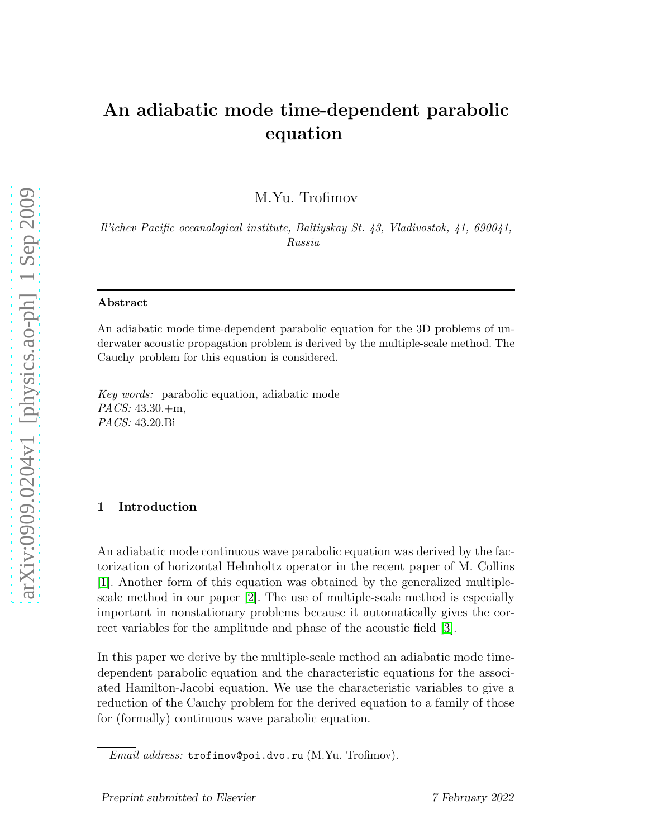# An adiabatic mode time-dependent parabolic equation

M.Yu. Trofimov

*Il'ichev Pacific oceanological institute, Baltiyskay St. 43, Vladivostok, 41, 690041, Russia*

#### Abstract

An adiabatic mode time-dependent parabolic equation for the 3D problems of underwater acoustic propagation problem is derived by the multiple-scale method. The Cauchy problem for this equation is considered.

*Key words:* parabolic equation, adiabatic mode *PACS:* 43.30.+m, *PACS:* 43.20.Bi

### 1 Introduction

An adiabatic mode continuous wave parabolic equation was derived by the factorization of horizontal Helmholtz operator in the recent paper of M. Collins [\[1\]](#page-4-0). Another form of this equation was obtained by the generalized multiplescale method in our paper [\[2\]](#page-5-0). The use of multiple-scale method is especially important in nonstationary problems because it automatically gives the correct variables for the amplitude and phase of the acoustic field [\[3\]](#page-5-1).

In this paper we derive by the multiple-scale method an adiabatic mode timedependent parabolic equation and the characteristic equations for the associated Hamilton-Jacobi equation. We use the characteristic variables to give a reduction of the Cauchy problem for the derived equation to a family of those for (formally) continuous wave parabolic equation.

*Email address:* trofimov@poi.dvo.ru (M.Yu. Trofimov).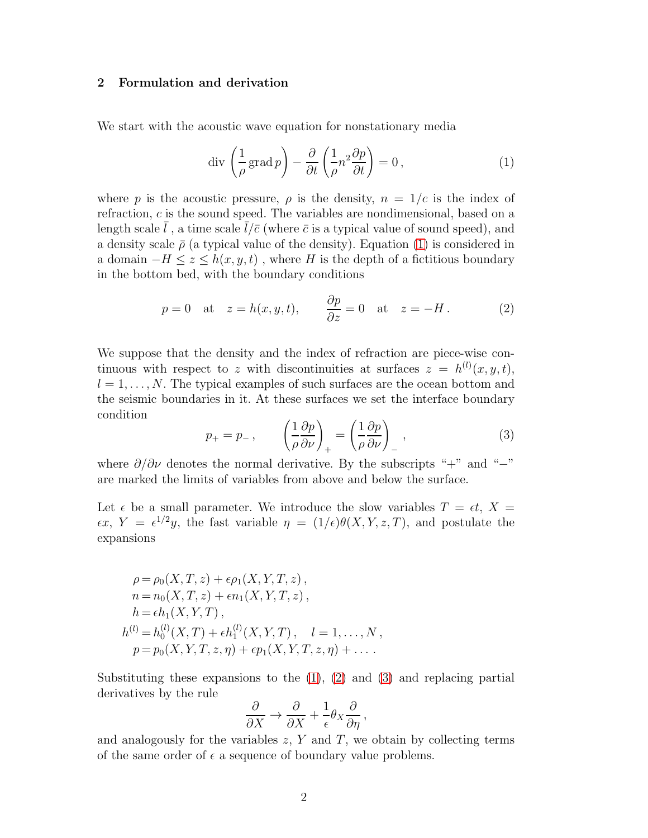#### 2 Formulation and derivation

We start with the acoustic wave equation for nonstationary media

<span id="page-1-0"></span>
$$
\operatorname{div}\left(\frac{1}{\rho}\operatorname{grad}p\right) - \frac{\partial}{\partial t}\left(\frac{1}{\rho}n^2\frac{\partial p}{\partial t}\right) = 0,\tag{1}
$$

where p is the acoustic pressure,  $\rho$  is the density,  $n = 1/c$  is the index of refraction, c is the sound speed. The variables are nondimensional, based on a length scale  $\bar{l}$ , a time scale  $\bar{l}/\bar{c}$  (where  $\bar{c}$  is a typical value of sound speed), and a density scale  $\bar{\rho}$  (a typical value of the density). Equation [\(1\)](#page-1-0) is considered in a domain  $-H \leq z \leq h(x, y, t)$ , where H is the depth of a fictitious boundary in the bottom bed, with the boundary conditions

<span id="page-1-1"></span>
$$
p = 0
$$
 at  $z = h(x, y, t)$ ,  $\frac{\partial p}{\partial z} = 0$  at  $z = -H$ . (2)

We suppose that the density and the index of refraction are piece-wise continuous with respect to z with discontinuities at surfaces  $z = h^{(l)}(x, y, t)$ ,  $l = 1, \ldots, N$ . The typical examples of such surfaces are the ocean bottom and the seismic boundaries in it. At these surfaces we set the interface boundary condition

<span id="page-1-2"></span>
$$
p_{+} = p_{-} , \qquad \left(\frac{1}{\rho} \frac{\partial p}{\partial \nu}\right)_{+} = \left(\frac{1}{\rho} \frac{\partial p}{\partial \nu}\right)_{-} , \qquad (3)
$$

where  $\partial/\partial \nu$  denotes the normal derivative. By the subscripts "+" and "−" are marked the limits of variables from above and below the surface.

Let  $\epsilon$  be a small parameter. We introduce the slow variables  $T = \epsilon t$ ,  $X =$  $\epsilon x$ ,  $Y = \epsilon^{1/2} y$ , the fast variable  $\eta = (1/\epsilon)\theta(X, Y, z, T)$ , and postulate the expansions

$$
\rho = \rho_0(X, T, z) + \epsilon \rho_1(X, Y, T, z),
$$
  
\n
$$
n = n_0(X, T, z) + \epsilon n_1(X, Y, T, z),
$$
  
\n
$$
h = \epsilon h_1(X, Y, T),
$$
  
\n
$$
h^{(l)} = h_0^{(l)}(X, T) + \epsilon h_1^{(l)}(X, Y, T), \quad l = 1, ..., N,
$$
  
\n
$$
p = p_0(X, Y, T, z, \eta) + \epsilon p_1(X, Y, T, z, \eta) + ...
$$

Substituting these expansions to the  $(1)$ ,  $(2)$  and  $(3)$  and replacing partial derivatives by the rule

$$
\frac{\partial}{\partial X} \to \frac{\partial}{\partial X} + \frac{1}{\epsilon} \theta_X \frac{\partial}{\partial \eta},
$$

and analogously for the variables  $z$ , Y and T, we obtain by collecting terms of the same order of  $\epsilon$  a sequence of boundary value problems.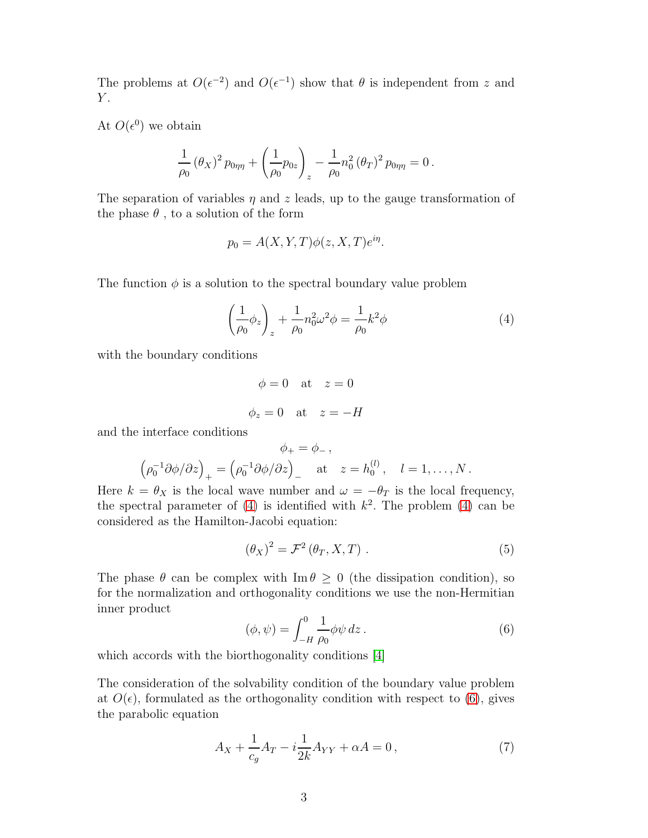The problems at  $O(\epsilon^{-2})$  and  $O(\epsilon^{-1})$  show that  $\theta$  is independent from z and  $Y_{\cdot}$ 

At  $O(\epsilon^0)$  we obtain

$$
\frac{1}{\rho_0} (\theta_X)^2 p_{0\eta\eta} + \left(\frac{1}{\rho_0} p_{0z}\right)_z - \frac{1}{\rho_0} n_0^2 (\theta_T)^2 p_{0\eta\eta} = 0.
$$

The separation of variables  $\eta$  and z leads, up to the gauge transformation of the phase  $\theta$ , to a solution of the form

$$
p_0 = A(X, Y, T)\phi(z, X, T)e^{i\eta}.
$$

The function  $\phi$  is a solution to the spectral boundary value problem

<span id="page-2-0"></span>
$$
\left(\frac{1}{\rho_0}\phi_z\right)_z + \frac{1}{\rho_0}n_0^2\omega^2\phi = \frac{1}{\rho_0}k^2\phi\tag{4}
$$

with the boundary conditions

 $\phi = 0$  at  $z = 0$  $\phi_z = 0$  at  $z = -H$ 

and the interface conditions

$$
\phi_+ = \phi_-,
$$
  

$$
\left(\rho_0^{-1} \partial \phi / \partial z\right)_+ = \left(\rho_0^{-1} \partial \phi / \partial z\right)_- \quad \text{at} \quad z = h_0^{(l)}, \quad l = 1, \dots, N.
$$

Here  $k = \theta_X$  is the local wave number and  $\omega = -\theta_T$  is the local frequency, the spectral parameter of  $(4)$  is identified with  $k^2$ . The problem  $(4)$  can be considered as the Hamilton-Jacobi equation:

<span id="page-2-2"></span>
$$
(\theta_X)^2 = \mathcal{F}^2(\theta_T, X, T) . \tag{5}
$$

The phase  $\theta$  can be complex with Im  $\theta \geq 0$  (the dissipation condition), so for the normalization and orthogonality conditions we use the non-Hermitian inner product

<span id="page-2-1"></span>
$$
(\phi, \psi) = \int_{-H}^{0} \frac{1}{\rho_0} \phi \psi \, dz \,. \tag{6}
$$

which accords with the biorthogonality conditions  $|4|$ 

The consideration of the solvability condition of the boundary value problem at  $O(\epsilon)$ , formulated as the orthogonality condition with respect to [\(6\)](#page-2-1), gives the parabolic equation

<span id="page-2-3"></span>
$$
A_X + \frac{1}{c_g} A_T - i \frac{1}{2k} A_{YY} + \alpha A = 0, \qquad (7)
$$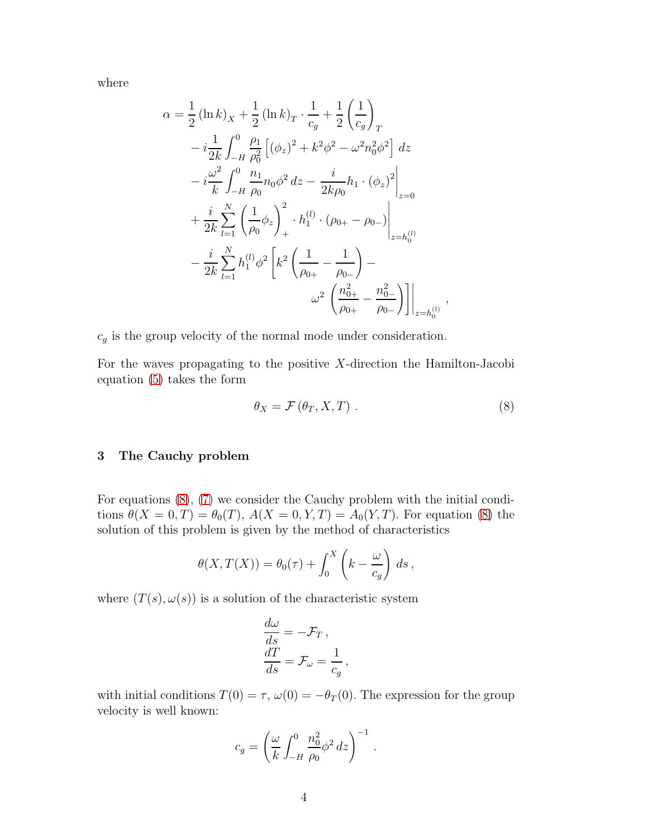where

$$
\alpha = \frac{1}{2} (\ln k)_X + \frac{1}{2} (\ln k)_T \cdot \frac{1}{c_g} + \frac{1}{2} \left(\frac{1}{c_g}\right)_T
$$
  
\n
$$
-i \frac{1}{2k} \int_{-H}^0 \frac{\rho_1}{\rho_0^2} \left[ (\phi_z)^2 + k^2 \phi^2 - \omega^2 n_0^2 \phi^2 \right] dz
$$
  
\n
$$
-i \frac{\omega^2}{k} \int_{-H}^0 \frac{n_1}{\rho_0} n_0 \phi^2 dz - \frac{i}{2k\rho_0} h_1 \cdot (\phi_z)^2 \Big|_{z=0}
$$
  
\n
$$
+ \frac{i}{2k} \sum_{l=1}^N \left( \frac{1}{\rho_0} \phi_z \right)_+^2 \cdot h_1^{(l)} \cdot (\rho_{0+} - \rho_{0-}) \Big|_{z=h_0^{(l)}}
$$
  
\n
$$
- \frac{i}{2k} \sum_{l=1}^N h_1^{(l)} \phi^2 \left[ k^2 \left( \frac{1}{\rho_{0+}} - \frac{1}{\rho_{0-}} \right) - \omega^2 \left( \frac{n_{0+}^2}{\rho_{0+}} - \frac{n_{0-}^2}{\rho_{0-}} \right) \right] \Big|_{z=h_0^{(l)}}
$$

 $c_g$  is the group velocity of the normal mode under consideration.

For the waves propagating to the positive  $X$ -direction the Hamilton-Jacobi equation [\(5\)](#page-2-2) takes the form

<span id="page-3-0"></span>
$$
\theta_X = \mathcal{F}(\theta_T, X, T) \tag{8}
$$

,

# 3 The Cauchy problem

For equations [\(8\)](#page-3-0), [\(7\)](#page-2-3) we consider the Cauchy problem with the initial conditions  $\theta(X = 0, T) = \theta_0(T)$ ,  $A(X = 0, Y, T) = A_0(Y, T)$ . For equation [\(8\)](#page-3-0) the solution of this problem is given by the method of characteristics

$$
\theta(X,T(X)) = \theta_0(\tau) + \int_0^X \left(k - \frac{\omega}{c_g}\right) ds,
$$

where  $(T(s), \omega(s))$  is a solution of the characteristic system

$$
\frac{d\omega}{ds} = -\mathcal{F}_T ,
$$
  

$$
\frac{dT}{ds} = \mathcal{F}_\omega = \frac{1}{c_g} ,
$$

with initial conditions  $T(0) = \tau$ ,  $\omega(0) = -\theta_T(0)$ . The expression for the group velocity is well known:

$$
c_g = \left(\frac{\omega}{k} \int_{-H}^{0} \frac{n_0^2}{\rho_0} \phi^2 \, dz\right)^{-1} \, .
$$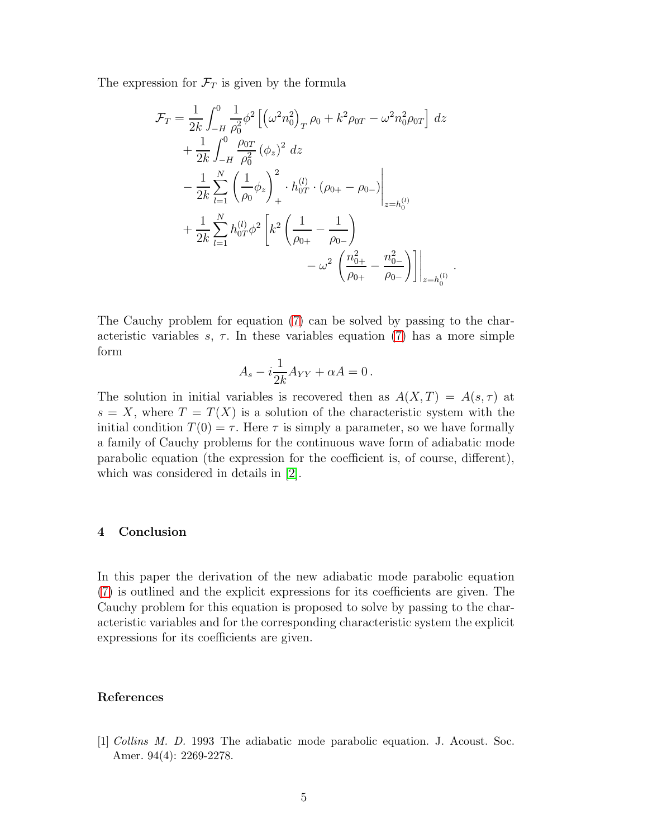The expression for  $\mathcal{F}_T$  is given by the formula

$$
\mathcal{F}_{T} = \frac{1}{2k} \int_{-H}^{0} \frac{1}{\rho_0^2} \phi^2 \left[ \left( \omega^2 n_0^2 \right)_T \rho_0 + k^2 \rho_{0T} - \omega^2 n_0^2 \rho_{0T} \right] dz \n+ \frac{1}{2k} \int_{-H}^{0} \frac{\rho_{0T}}{\rho_0^2} (\phi_z)^2 dz \n- \frac{1}{2k} \sum_{l=1}^{N} \left( \frac{1}{\rho_0} \phi_z \right)_+^2 \cdot h_{0T}^{(l)} \cdot (\rho_{0+} - \rho_{0-}) \Big|_{z=h_0^{(l)}} \n+ \frac{1}{2k} \sum_{l=1}^{N} h_{0T}^{(l)} \phi^2 \left[ k^2 \left( \frac{1}{\rho_{0+}} - \frac{1}{\rho_{0-}} \right) - \omega^2 \left( \frac{n_{0+}^2}{\rho_{0+}} - \frac{n_{0-}^2}{\rho_{0-}} \right) \right] \Big|_{z=h_0^{(l)}}.
$$

The Cauchy problem for equation [\(7\)](#page-2-3) can be solved by passing to the characteristic variables  $s, \tau$ . In these variables equation [\(7\)](#page-2-3) has a more simple form

$$
A_s - i\frac{1}{2k}A_{YY} + \alpha A = 0.
$$

The solution in initial variables is recovered then as  $A(X,T) = A(s,\tau)$  at  $s = X$ , where  $T = T(X)$  is a solution of the characteristic system with the initial condition  $T(0) = \tau$ . Here  $\tau$  is simply a parameter, so we have formally a family of Cauchy problems for the continuous wave form of adiabatic mode parabolic equation (the expression for the coefficient is, of course, different), which was considered in details in [\[2\]](#page-5-0).

#### 4 Conclusion

In this paper the derivation of the new adiabatic mode parabolic equation [\(7\)](#page-2-3) is outlined and the explicit expressions for its coefficients are given. The Cauchy problem for this equation is proposed to solve by passing to the characteristic variables and for the corresponding characteristic system the explicit expressions for its coefficients are given.

## <span id="page-4-0"></span>References

[1] *Collins M. D.* 1993 The adiabatic mode parabolic equation. J. Acoust. Soc. Amer. 94(4): 2269-2278.